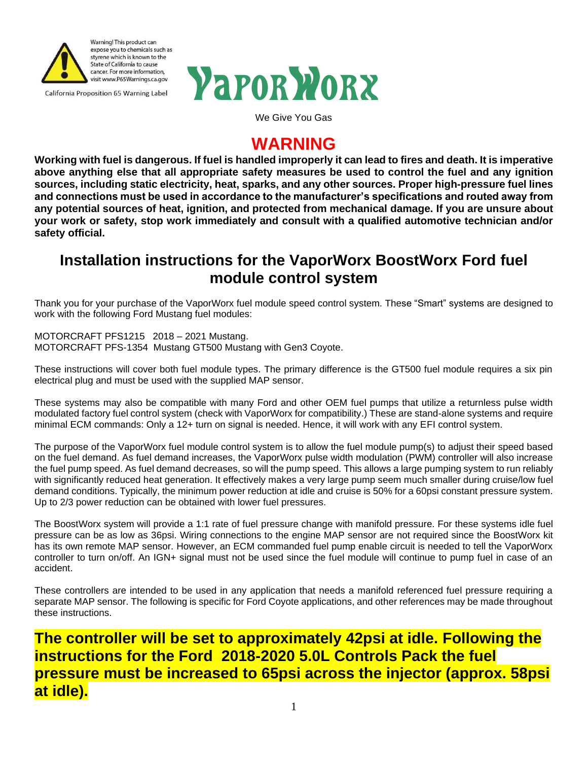



We Give You Gas

# **WARNING**

**Working with fuel is dangerous. If fuel is handled improperly it can lead to fires and death. It is imperative above anything else that all appropriate safety measures be used to control the fuel and any ignition sources, including static electricity, heat, sparks, and any other sources. Proper high-pressure fuel lines and connections must be used in accordance to the manufacturer's specifications and routed away from any potential sources of heat, ignition, and protected from mechanical damage. If you are unsure about your work or safety, stop work immediately and consult with a qualified automotive technician and/or safety official.**

# **Installation instructions for the VaporWorx BoostWorx Ford fuel module control system**

Thank you for your purchase of the VaporWorx fuel module speed control system. These "Smart" systems are designed to work with the following Ford Mustang fuel modules:

MOTORCRAFT PFS1215 2018 – 2021 Mustang. MOTORCRAFT PFS-1354 Mustang GT500 Mustang with Gen3 Coyote.

These instructions will cover both fuel module types. The primary difference is the GT500 fuel module requires a six pin electrical plug and must be used with the supplied MAP sensor.

These systems may also be compatible with many Ford and other OEM fuel pumps that utilize a returnless pulse width modulated factory fuel control system (check with VaporWorx for compatibility.) These are stand-alone systems and require minimal ECM commands: Only a 12+ turn on signal is needed. Hence, it will work with any EFI control system.

The purpose of the VaporWorx fuel module control system is to allow the fuel module pump(s) to adjust their speed based on the fuel demand. As fuel demand increases, the VaporWorx pulse width modulation (PWM) controller will also increase the fuel pump speed. As fuel demand decreases, so will the pump speed. This allows a large pumping system to run reliably with significantly reduced heat generation. It effectively makes a very large pump seem much smaller during cruise/low fuel demand conditions. Typically, the minimum power reduction at idle and cruise is 50% for a 60psi constant pressure system. Up to 2/3 power reduction can be obtained with lower fuel pressures.

The BoostWorx system will provide a 1:1 rate of fuel pressure change with manifold pressure. For these systems idle fuel pressure can be as low as 36psi. Wiring connections to the engine MAP sensor are not required since the BoostWorx kit has its own remote MAP sensor. However, an ECM commanded fuel pump enable circuit is needed to tell the VaporWorx controller to turn on/off. An IGN+ signal must not be used since the fuel module will continue to pump fuel in case of an accident.

These controllers are intended to be used in any application that needs a manifold referenced fuel pressure requiring a separate MAP sensor. The following is specific for Ford Coyote applications, and other references may be made throughout these instructions.

**The controller will be set to approximately 42psi at idle. Following the instructions for the Ford 2018-2020 5.0L Controls Pack the fuel pressure must be increased to 65psi across the injector (approx. 58psi at idle).**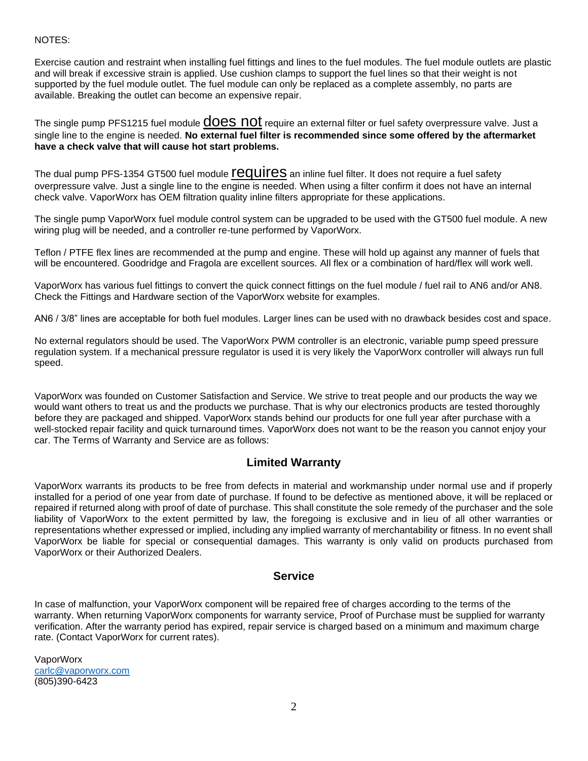#### NOTES:

Exercise caution and restraint when installing fuel fittings and lines to the fuel modules. The fuel module outlets are plastic and will break if excessive strain is applied. Use cushion clamps to support the fuel lines so that their weight is not supported by the fuel module outlet. The fuel module can only be replaced as a complete assembly, no parts are available. Breaking the outlet can become an expensive repair.

The single pump PFS1215 fuel module **COCS NOT** require an external filter or fuel safety overpressure valve. Just a single line to the engine is needed. **No external fuel filter is recommended since some offered by the aftermarket have a check valve that will cause hot start problems.** 

The dual pump PFS-1354 GT500 fuel module **requires** an inline fuel filter. It does not require a fuel safety overpressure valve. Just a single line to the engine is needed. When using a filter confirm it does not have an internal check valve. VaporWorx has OEM filtration quality inline filters appropriate for these applications.

The single pump VaporWorx fuel module control system can be upgraded to be used with the GT500 fuel module. A new wiring plug will be needed, and a controller re-tune performed by VaporWorx.

Teflon / PTFE flex lines are recommended at the pump and engine. These will hold up against any manner of fuels that will be encountered. Goodridge and Fragola are excellent sources. All flex or a combination of hard/flex will work well.

VaporWorx has various fuel fittings to convert the quick connect fittings on the fuel module / fuel rail to AN6 and/or AN8. Check the Fittings and Hardware section of the VaporWorx website for examples.

AN6 / 3/8" lines are acceptable for both fuel modules. Larger lines can be used with no drawback besides cost and space.

No external regulators should be used. The VaporWorx PWM controller is an electronic, variable pump speed pressure regulation system. If a mechanical pressure regulator is used it is very likely the VaporWorx controller will always run full speed.

VaporWorx was founded on Customer Satisfaction and Service. We strive to treat people and our products the way we would want others to treat us and the products we purchase. That is why our electronics products are tested thoroughly before they are packaged and shipped. VaporWorx stands behind our products for one full year after purchase with a well-stocked repair facility and quick turnaround times. VaporWorx does not want to be the reason you cannot enjoy your car. The Terms of Warranty and Service are as follows:

#### **Limited Warranty**

VaporWorx warrants its products to be free from defects in material and workmanship under normal use and if properly installed for a period of one year from date of purchase. If found to be defective as mentioned above, it will be replaced or repaired if returned along with proof of date of purchase. This shall constitute the sole remedy of the purchaser and the sole liability of VaporWorx to the extent permitted by law, the foregoing is exclusive and in lieu of all other warranties or representations whether expressed or implied, including any implied warranty of merchantability or fitness. In no event shall VaporWorx be liable for special or consequential damages. This warranty is only valid on products purchased from VaporWorx or their Authorized Dealers.

#### **Service**

In case of malfunction, your VaporWorx component will be repaired free of charges according to the terms of the warranty. When returning VaporWorx components for warranty service, Proof of Purchase must be supplied for warranty verification. After the warranty period has expired, repair service is charged based on a minimum and maximum charge rate. (Contact VaporWorx for current rates).

VaporWorx [carlc@vaporworx.com](mailto:carlc@vaporworx.com)  (805)390-6423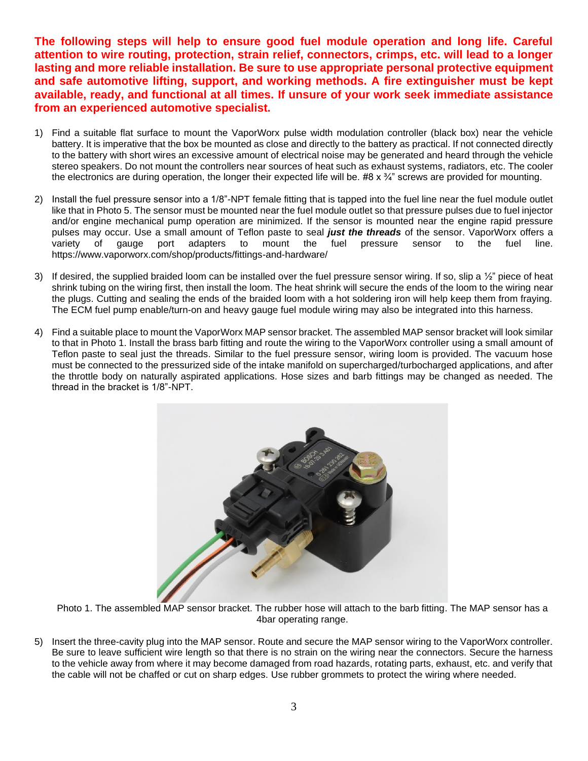**The following steps will help to ensure good fuel module operation and long life. Careful attention to wire routing, protection, strain relief, connectors, crimps, etc. will lead to a longer lasting and more reliable installation. Be sure to use appropriate personal protective equipment and safe automotive lifting, support, and working methods. A fire extinguisher must be kept available, ready, and functional at all times. If unsure of your work seek immediate assistance from an experienced automotive specialist.** 

- 1) Find a suitable flat surface to mount the VaporWorx pulse width modulation controller (black box) near the vehicle battery. It is imperative that the box be mounted as close and directly to the battery as practical. If not connected directly to the battery with short wires an excessive amount of electrical noise may be generated and heard through the vehicle stereo speakers. Do not mount the controllers near sources of heat such as exhaust systems, radiators, etc. The cooler the electronics are during operation, the longer their expected life will be. #8  $\times$   $\frac{3}{4}$ " screws are provided for mounting.
- 2) Install the fuel pressure sensor into a 1/8"-NPT female fitting that is tapped into the fuel line near the fuel module outlet like that in Photo 5. The sensor must be mounted near the fuel module outlet so that pressure pulses due to fuel injector and/or engine mechanical pump operation are minimized. If the sensor is mounted near the engine rapid pressure pulses may occur. Use a small amount of Teflon paste to seal *just the threads* of the sensor. VaporWorx offers a variety of gauge port adapters to mount the fuel pressure sensor to the fuel line. https://www.vaporworx.com/shop/products/fittings-and-hardware/
- 3) If desired, the supplied braided loom can be installed over the fuel pressure sensor wiring. If so, slip a  $\frac{1}{2}$ " piece of heat shrink tubing on the wiring first, then install the loom. The heat shrink will secure the ends of the loom to the wiring near the plugs. Cutting and sealing the ends of the braided loom with a hot soldering iron will help keep them from fraying. The ECM fuel pump enable/turn-on and heavy gauge fuel module wiring may also be integrated into this harness.
- 4) Find a suitable place to mount the VaporWorx MAP sensor bracket. The assembled MAP sensor bracket will look similar to that in Photo 1. Install the brass barb fitting and route the wiring to the VaporWorx controller using a small amount of Teflon paste to seal just the threads. Similar to the fuel pressure sensor, wiring loom is provided. The vacuum hose must be connected to the pressurized side of the intake manifold on supercharged/turbocharged applications, and after the throttle body on naturally aspirated applications. Hose sizes and barb fittings may be changed as needed. The thread in the bracket is 1/8"-NPT.



Photo 1. The assembled MAP sensor bracket. The rubber hose will attach to the barb fitting. The MAP sensor has a 4bar operating range.

5) Insert the three-cavity plug into the MAP sensor. Route and secure the MAP sensor wiring to the VaporWorx controller. Be sure to leave sufficient wire length so that there is no strain on the wiring near the connectors. Secure the harness to the vehicle away from where it may become damaged from road hazards, rotating parts, exhaust, etc. and verify that the cable will not be chaffed or cut on sharp edges. Use rubber grommets to protect the wiring where needed.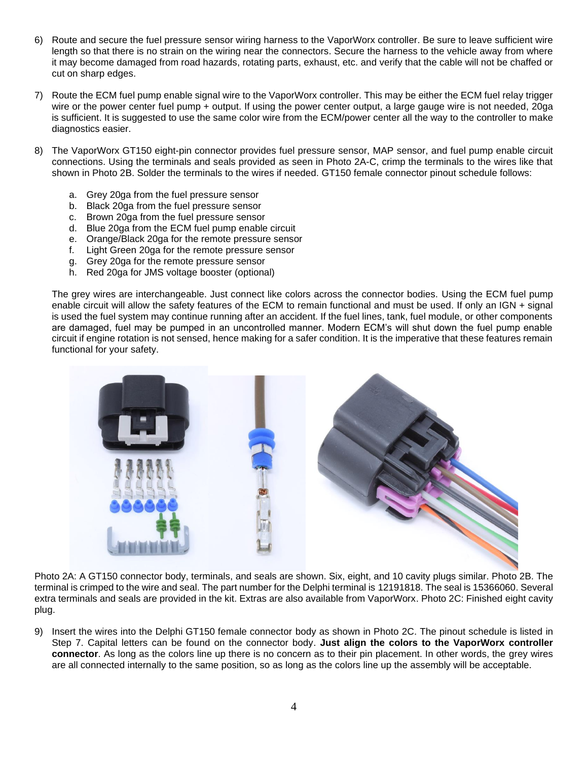- 6) Route and secure the fuel pressure sensor wiring harness to the VaporWorx controller. Be sure to leave sufficient wire length so that there is no strain on the wiring near the connectors. Secure the harness to the vehicle away from where it may become damaged from road hazards, rotating parts, exhaust, etc. and verify that the cable will not be chaffed or cut on sharp edges.
- 7) Route the ECM fuel pump enable signal wire to the VaporWorx controller. This may be either the ECM fuel relay trigger wire or the power center fuel pump + output. If using the power center output, a large gauge wire is not needed, 20ga is sufficient. It is suggested to use the same color wire from the ECM/power center all the way to the controller to make diagnostics easier.
- 8) The VaporWorx GT150 eight-pin connector provides fuel pressure sensor, MAP sensor, and fuel pump enable circuit connections. Using the terminals and seals provided as seen in Photo 2A-C, crimp the terminals to the wires like that shown in Photo 2B. Solder the terminals to the wires if needed. GT150 female connector pinout schedule follows:
	- a. Grey 20ga from the fuel pressure sensor
	- b. Black 20ga from the fuel pressure sensor
	- c. Brown 20ga from the fuel pressure sensor
	- d. Blue 20ga from the ECM fuel pump enable circuit
	- e. Orange/Black 20ga for the remote pressure sensor
	- f. Light Green 20ga for the remote pressure sensor
	- g. Grey 20ga for the remote pressure sensor
	- h. Red 20ga for JMS voltage booster (optional)

The grey wires are interchangeable. Just connect like colors across the connector bodies. Using the ECM fuel pump enable circuit will allow the safety features of the ECM to remain functional and must be used. If only an IGN + signal is used the fuel system may continue running after an accident. If the fuel lines, tank, fuel module, or other components are damaged, fuel may be pumped in an uncontrolled manner. Modern ECM's will shut down the fuel pump enable circuit if engine rotation is not sensed, hence making for a safer condition. It is the imperative that these features remain functional for your safety.



Photo 2A: A GT150 connector body, terminals, and seals are shown. Six, eight, and 10 cavity plugs similar. Photo 2B. The terminal is crimped to the wire and seal. The part number for the Delphi terminal is 12191818. The seal is 15366060. Several extra terminals and seals are provided in the kit. Extras are also available from VaporWorx. Photo 2C: Finished eight cavity plug.

9) Insert the wires into the Delphi GT150 female connector body as shown in Photo 2C. The pinout schedule is listed in Step 7. Capital letters can be found on the connector body. **Just align the colors to the VaporWorx controller connector**. As long as the colors line up there is no concern as to their pin placement. In other words, the grey wires are all connected internally to the same position, so as long as the colors line up the assembly will be acceptable.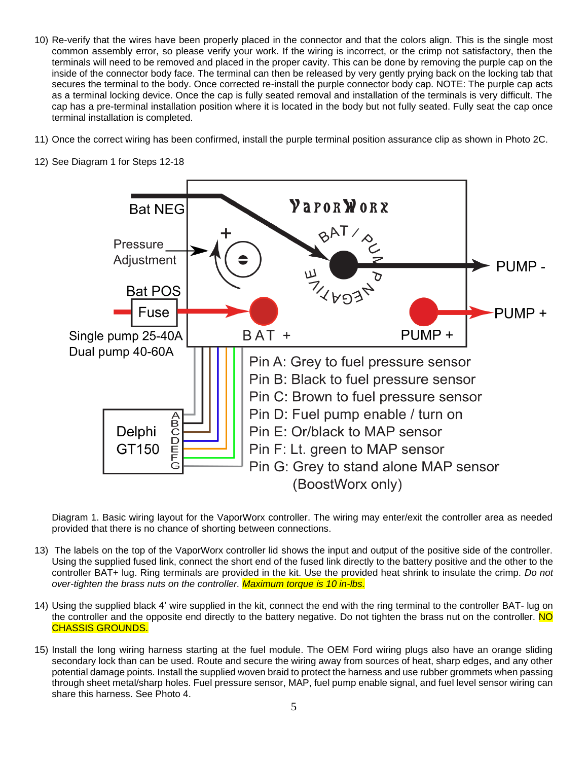- 10) Re-verify that the wires have been properly placed in the connector and that the colors align. This is the single most common assembly error, so please verify your work. If the wiring is incorrect, or the crimp not satisfactory, then the terminals will need to be removed and placed in the proper cavity. This can be done by removing the purple cap on the inside of the connector body face. The terminal can then be released by very gently prying back on the locking tab that secures the terminal to the body. Once corrected re-install the purple connector body cap. NOTE: The purple cap acts as a terminal locking device. Once the cap is fully seated removal and installation of the terminals is very difficult. The cap has a pre-terminal installation position where it is located in the body but not fully seated. Fully seat the cap once terminal installation is completed.
- 11) Once the correct wiring has been confirmed, install the purple terminal position assurance clip as shown in Photo 2C.



12) See Diagram 1 for Steps 12-18

Diagram 1. Basic wiring layout for the VaporWorx controller. The wiring may enter/exit the controller area as needed provided that there is no chance of shorting between connections.

- 13) The labels on the top of the VaporWorx controller lid shows the input and output of the positive side of the controller. Using the supplied fused link, connect the short end of the fused link directly to the battery positive and the other to the controller BAT+ lug. Ring terminals are provided in the kit. Use the provided heat shrink to insulate the crimp. *Do not over-tighten the brass nuts on the controller. Maximum torque is 10 in-lbs.*
- 14) Using the supplied black 4' wire supplied in the kit, connect the end with the ring terminal to the controller BAT- lug on the controller and the opposite end directly to the battery negative. Do not tighten the brass nut on the controller. NO CHASSIS GROUNDS.
- 15) Install the long wiring harness starting at the fuel module. The OEM Ford wiring plugs also have an orange sliding secondary lock than can be used. Route and secure the wiring away from sources of heat, sharp edges, and any other potential damage points. Install the supplied woven braid to protect the harness and use rubber grommets when passing through sheet metal/sharp holes. Fuel pressure sensor, MAP, fuel pump enable signal, and fuel level sensor wiring can share this harness. See Photo 4.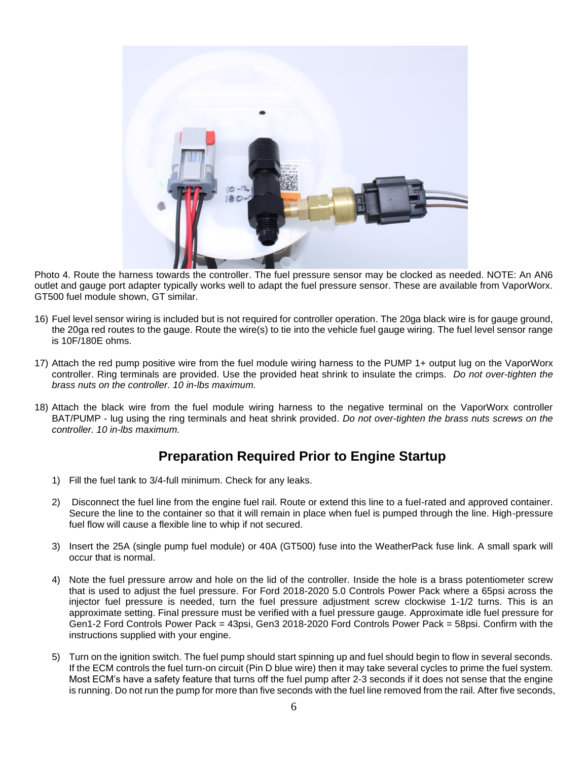

Photo 4. Route the harness towards the controller. The fuel pressure sensor may be clocked as needed. NOTE: An AN6 outlet and gauge port adapter typically works well to adapt the fuel pressure sensor. These are available from VaporWorx. GT500 fuel module shown, GT similar.

- 16) Fuel level sensor wiring is included but is not required for controller operation. The 20ga black wire is for gauge ground, the 20ga red routes to the gauge. Route the wire(s) to tie into the vehicle fuel gauge wiring. The fuel level sensor range is 10F/180E ohms.
- 17) Attach the red pump positive wire from the fuel module wiring harness to the PUMP 1+ output lug on the VaporWorx controller. Ring terminals are provided. Use the provided heat shrink to insulate the crimps. *Do not over-tighten the brass nuts on the controller. 10 in-lbs maximum.*
- 18) Attach the black wire from the fuel module wiring harness to the negative terminal on the VaporWorx controller BAT/PUMP - lug using the ring terminals and heat shrink provided. *Do not over-tighten the brass nuts screws on the controller. 10 in-lbs maximum.*

### **Preparation Required Prior to Engine Startup**

- 1) Fill the fuel tank to 3/4-full minimum. Check for any leaks.
- 2) Disconnect the fuel line from the engine fuel rail. Route or extend this line to a fuel-rated and approved container. Secure the line to the container so that it will remain in place when fuel is pumped through the line. High-pressure fuel flow will cause a flexible line to whip if not secured.
- 3) Insert the 25A (single pump fuel module) or 40A (GT500) fuse into the WeatherPack fuse link. A small spark will occur that is normal.
- 4) Note the fuel pressure arrow and hole on the lid of the controller. Inside the hole is a brass potentiometer screw that is used to adjust the fuel pressure. For Ford 2018-2020 5.0 Controls Power Pack where a 65psi across the injector fuel pressure is needed, turn the fuel pressure adjustment screw clockwise 1-1/2 turns. This is an approximate setting. Final pressure must be verified with a fuel pressure gauge. Approximate idle fuel pressure for Gen1-2 Ford Controls Power Pack = 43psi, Gen3 2018-2020 Ford Controls Power Pack = 58psi. Confirm with the instructions supplied with your engine.
- 5) Turn on the ignition switch. The fuel pump should start spinning up and fuel should begin to flow in several seconds. If the ECM controls the fuel turn-on circuit (Pin D blue wire) then it may take several cycles to prime the fuel system. Most ECM's have a safety feature that turns off the fuel pump after 2-3 seconds if it does not sense that the engine is running. Do not run the pump for more than five seconds with the fuel line removed from the rail. After five seconds,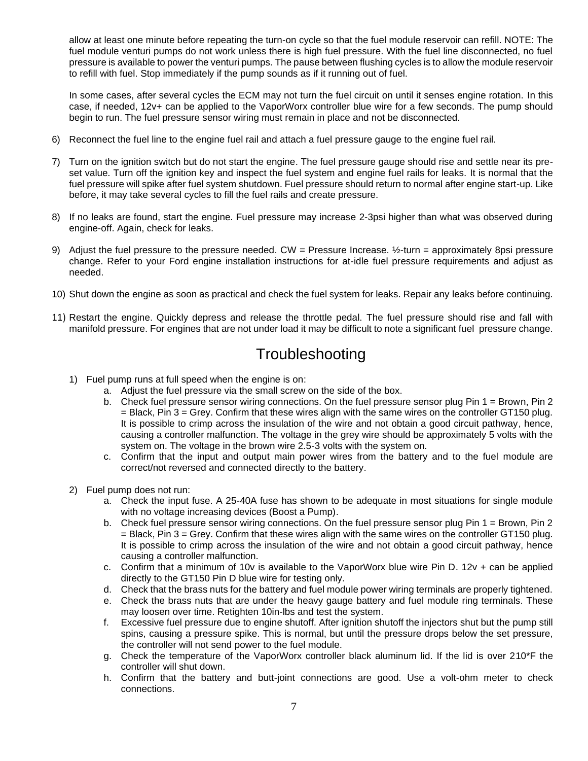allow at least one minute before repeating the turn-on cycle so that the fuel module reservoir can refill. NOTE: The fuel module venturi pumps do not work unless there is high fuel pressure. With the fuel line disconnected, no fuel pressure is available to power the venturi pumps. The pause between flushing cycles is to allow the module reservoir to refill with fuel. Stop immediately if the pump sounds as if it running out of fuel.

In some cases, after several cycles the ECM may not turn the fuel circuit on until it senses engine rotation. In this case, if needed, 12v+ can be applied to the VaporWorx controller blue wire for a few seconds. The pump should begin to run. The fuel pressure sensor wiring must remain in place and not be disconnected.

- 6) Reconnect the fuel line to the engine fuel rail and attach a fuel pressure gauge to the engine fuel rail.
- 7) Turn on the ignition switch but do not start the engine. The fuel pressure gauge should rise and settle near its preset value. Turn off the ignition key and inspect the fuel system and engine fuel rails for leaks. It is normal that the fuel pressure will spike after fuel system shutdown. Fuel pressure should return to normal after engine start-up. Like before, it may take several cycles to fill the fuel rails and create pressure.
- 8) If no leaks are found, start the engine. Fuel pressure may increase 2-3psi higher than what was observed during engine-off. Again, check for leaks.
- 9) Adjust the fuel pressure to the pressure needed. CW = Pressure Increase.  $\frac{1}{2}$ -turn = approximately 8psi pressure change. Refer to your Ford engine installation instructions for at-idle fuel pressure requirements and adjust as needed.
- 10) Shut down the engine as soon as practical and check the fuel system for leaks. Repair any leaks before continuing.
- 11) Restart the engine. Quickly depress and release the throttle pedal. The fuel pressure should rise and fall with manifold pressure. For engines that are not under load it may be difficult to note a significant fuel pressure change.

## **Troubleshooting**

- 1) Fuel pump runs at full speed when the engine is on:
	- a. Adjust the fuel pressure via the small screw on the side of the box.
	- b. Check fuel pressure sensor wiring connections. On the fuel pressure sensor plug Pin 1 = Brown, Pin 2 = Black, Pin 3 = Grey. Confirm that these wires align with the same wires on the controller GT150 plug. It is possible to crimp across the insulation of the wire and not obtain a good circuit pathway, hence, causing a controller malfunction. The voltage in the grey wire should be approximately 5 volts with the system on. The voltage in the brown wire 2.5-3 volts with the system on.
	- c. Confirm that the input and output main power wires from the battery and to the fuel module are correct/not reversed and connected directly to the battery.
- 2) Fuel pump does not run:
	- a. Check the input fuse. A 25-40A fuse has shown to be adequate in most situations for single module with no voltage increasing devices (Boost a Pump).
	- b. Check fuel pressure sensor wiring connections. On the fuel pressure sensor plug Pin 1 = Brown, Pin 2 = Black, Pin 3 = Grey. Confirm that these wires align with the same wires on the controller GT150 plug. It is possible to crimp across the insulation of the wire and not obtain a good circuit pathway, hence causing a controller malfunction.
	- c. Confirm that a minimum of 10v is available to the VaporWorx blue wire Pin D. 12v + can be applied directly to the GT150 Pin D blue wire for testing only.
	- d. Check that the brass nuts for the battery and fuel module power wiring terminals are properly tightened.
	- e. Check the brass nuts that are under the heavy gauge battery and fuel module ring terminals. These may loosen over time. Retighten 10in-lbs and test the system.
	- f. Excessive fuel pressure due to engine shutoff. After ignition shutoff the injectors shut but the pump still spins, causing a pressure spike. This is normal, but until the pressure drops below the set pressure, the controller will not send power to the fuel module.
	- g. Check the temperature of the VaporWorx controller black aluminum lid. If the lid is over 210\*F the controller will shut down.
	- h. Confirm that the battery and butt-joint connections are good. Use a volt-ohm meter to check connections.